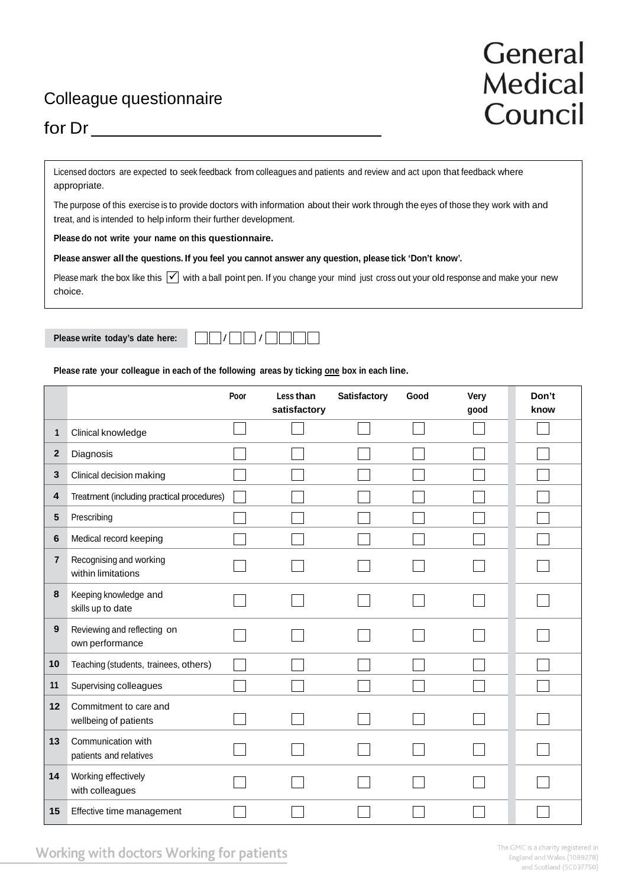## Colleague questionnaire

## General **Medical** Council

## for Dr

Licensed doctors are expected to seek feedback from colleagues and patients and review and act upon that feedback where appropriate.

The purpose of this exercise is to provide doctors with information about their work through the eyes of those they work with and treat, and is intended to help inform their further development.

**Please do not write your name on this questionnaire.**

**Please answer all the questions. If you feel you cannot answer any question, please tick 'Don't know'.**

Please mark the box like this  $\vee$  with a ball point pen. If you change your mind just cross out your old response and make your new choice.



**Please rate your colleague in each of the following areas by ticking one box in each line.**

|                |                                                 | Poor | Less than<br>satisfactory | <b>Satisfactory</b> | Good | Very<br>good | Don't<br>know |
|----------------|-------------------------------------------------|------|---------------------------|---------------------|------|--------------|---------------|
| 1              | Clinical knowledge                              |      |                           |                     |      |              |               |
| $\mathbf{2}$   | Diagnosis                                       |      |                           |                     |      |              |               |
| 3              | Clinical decision making                        |      |                           |                     |      |              |               |
| 4              | Treatment (including practical procedures)      |      |                           |                     |      |              |               |
| 5              | Prescribing                                     |      |                           |                     |      |              |               |
| 6              | Medical record keeping                          |      |                           |                     |      |              |               |
| $\overline{7}$ | Recognising and working<br>within limitations   |      |                           |                     |      |              |               |
| 8              | Keeping knowledge and<br>skills up to date      |      |                           |                     |      |              |               |
| 9              | Reviewing and reflecting on<br>own performance  |      |                           |                     |      |              |               |
| 10             | Teaching (students, trainees, others)           |      |                           |                     |      |              |               |
| 11             | Supervising colleagues                          |      |                           |                     |      |              |               |
| 12             | Commitment to care and<br>wellbeing of patients |      |                           |                     |      |              |               |
| 13             | Communication with<br>patients and relatives    |      |                           |                     |      |              |               |
| 14             | Working effectively<br>with colleagues          |      |                           |                     |      |              |               |
| 15             | Effective time management                       |      |                           |                     |      |              |               |

Working with doctors Working for patients